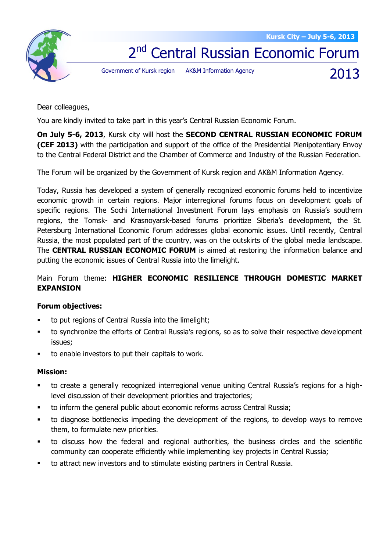2013



2<sup>nd</sup> Central Russian Economic Forum

Government of Kursk region AK&M Information Agency

Dear colleagues,

You are kindly invited to take part in this year's Central Russian Economic Forum.

**On July 5-6, 2013**, Kursk city will host the **SECOND CENTRAL RUSSIAN ECONOMIC FORUM (CEF 2013)** with the participation and support of the office of the Presidential Plenipotentiary Envoy to the Central Federal District and the Chamber of Commerce and Industry of the Russian Federation.

The Forum will be organized by the Government of Kursk region and AK&M Information Agency.

Today, Russia has developed a system of generally recognized economic forums held to incentivize economic growth in certain regions. Major interregional forums focus on development goals of specific regions. The Sochi International Investment Forum lays emphasis on Russia's southern regions, the Tomsk- and Krasnoyarsk-based forums prioritize Siberia's development, the St. Petersburg International Economic Forum addresses global economic issues. Until recently, Central Russia, the most populated part of the country, was on the outskirts of the global media landscape. The **CENTRAL RUSSIAN ECONOMIC FORUM** is aimed at restoring the information balance and putting the economic issues of Central Russia into the limelight.

## Main Forum theme: **HIGHER ECONOMIC RESILIENCE THROUGH DOMESTIC MARKET EXPANSION**

## **Forum objectives:**

- to put regions of Central Russia into the limelight;
- to synchronize the efforts of Central Russia's regions, so as to solve their respective development issues;
- to enable investors to put their capitals to work.

## **Mission:**

- to create a generally recognized interregional venue uniting Central Russia's regions for a highlevel discussion of their development priorities and trajectories;
- to inform the general public about economic reforms across Central Russia;
- to diagnose bottlenecks impeding the development of the regions, to develop ways to remove them, to formulate new priorities.
- to discuss how the federal and regional authorities, the business circles and the scientific community can cooperate efficiently while implementing key projects in Central Russia;
- to attract new investors and to stimulate existing partners in Central Russia.